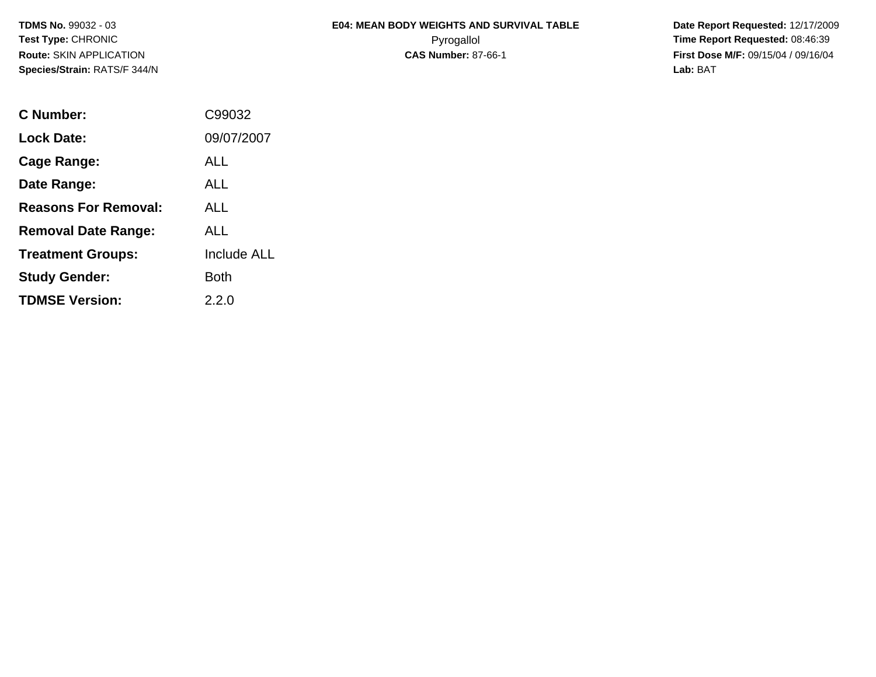|              | <b>E04: MEAN BODY WEIGHTS AND SURVIVAL TABLE</b> |
|--------------|--------------------------------------------------|
| ⌒<br>ັ       | Pyrogallol                                       |
| <b>ATION</b> | 0.10.11107.00.4                                  |

 **Date Report Requested:** 12/17/2009 **Time Report Requested: 08:46:39 CAS Number:** 87-66-1 **First Dose M/F:** 09/15/04 / 09/16/04 **Lab:** BAT

| C Number:                   | C99032             |
|-----------------------------|--------------------|
| <b>Lock Date:</b>           | 09/07/2007         |
| Cage Range:                 | ALL                |
| Date Range:                 | <b>ALL</b>         |
| <b>Reasons For Removal:</b> | AI L               |
| <b>Removal Date Range:</b>  | ALL                |
| <b>Treatment Groups:</b>    | <b>Include ALL</b> |
| <b>Study Gender:</b>        | Both               |
| <b>TDMSE Version:</b>       | 2.2.0              |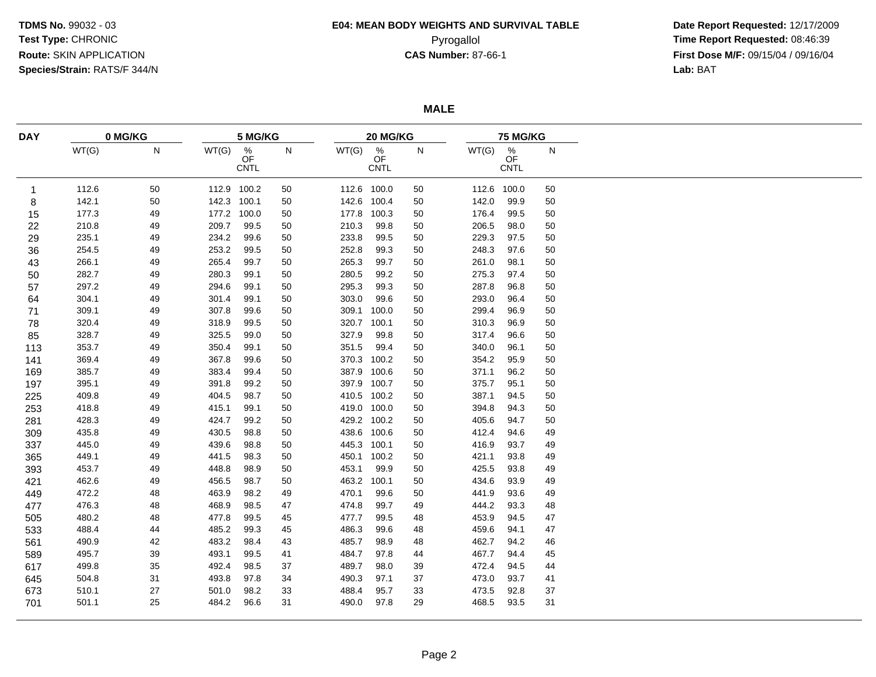# **E04: MEAN BODY WEIGHTS AND SURVIVAL TABLE**

 **Date Report Requested:** 12/17/2009 Pyrogallol Pyrogallol **Pyrogallol Time Report Requested:** 08:46:39<br>**CAS Number:** 87-66-1 **Time Report Requested:** 09/15/04 / 09/16/04 **First Dose M/F:** 09/15/04 / 09/16/04<br>Lab: BAT **Lab:** BAT

**MALE**

| <b>DAY</b> |       | 0 MG/KG |             | 5 MG/KG                               |    |       |                                       | 20 MG/KG |       |                                  | <b>75 MG/KG</b> |
|------------|-------|---------|-------------|---------------------------------------|----|-------|---------------------------------------|----------|-------|----------------------------------|-----------------|
|            | WT(G) | N       | WT(G)       | $\frac{\%}{\text{OF}}$<br><b>CNTL</b> | N  | WT(G) | $\frac{\%}{\text{OF}}$<br><b>CNTL</b> | N        | WT(G) | $\%$<br><b>OF</b><br><b>CNTL</b> | N               |
| 1          | 112.6 | 50      | 112.9 100.2 |                                       | 50 |       | 112.6 100.0                           | 50       |       | 112.6 100.0                      | 50              |
| 8          | 142.1 | 50      | 142.3 100.1 |                                       | 50 | 142.6 | 100.4                                 | 50       | 142.0 | 99.9                             | 50              |
| 15         | 177.3 | 49      | 177.2 100.0 |                                       | 50 | 177.8 | 100.3                                 | 50       | 176.4 | 99.5                             | 50              |
| 22         | 210.8 | 49      | 209.7       | 99.5                                  | 50 | 210.3 | 99.8                                  | 50       | 206.5 | 98.0                             | 50              |
| 29         | 235.1 | 49      | 234.2       | 99.6                                  | 50 | 233.8 | 99.5                                  | 50       | 229.3 | 97.5                             | 50              |
| 36         | 254.5 | 49      | 253.2       | 99.5                                  | 50 | 252.8 | 99.3                                  | 50       | 248.3 | 97.6                             | 50              |
| 43         | 266.1 | 49      | 265.4       | 99.7                                  | 50 | 265.3 | 99.7                                  | 50       | 261.0 | 98.1                             | 50              |
| 50         | 282.7 | 49      | 280.3       | 99.1                                  | 50 | 280.5 | 99.2                                  | 50       | 275.3 | 97.4                             | 50              |
| 57         | 297.2 | 49      | 294.6       | 99.1                                  | 50 | 295.3 | 99.3                                  | 50       | 287.8 | 96.8                             | 50              |
| 64         | 304.1 | 49      | 301.4       | 99.1                                  | 50 | 303.0 | 99.6                                  | 50       | 293.0 | 96.4                             | 50              |
| 71         | 309.1 | 49      | 307.8       | 99.6                                  | 50 | 309.1 | 100.0                                 | 50       | 299.4 | 96.9                             | 50              |
| 78         | 320.4 | 49      | 318.9       | 99.5                                  | 50 | 320.7 | 100.1                                 | 50       | 310.3 | 96.9                             | 50              |
| 85         | 328.7 | 49      | 325.5       | 99.0                                  | 50 | 327.9 | 99.8                                  | 50       | 317.4 | 96.6                             | 50              |
| 113        | 353.7 | 49      | 350.4       | 99.1                                  | 50 | 351.5 | 99.4                                  | 50       | 340.0 | 96.1                             | 50              |
| 141        | 369.4 | 49      | 367.8       | 99.6                                  | 50 |       | 370.3 100.2                           | 50       | 354.2 | 95.9                             | 50              |
| 169        | 385.7 | 49      | 383.4       | 99.4                                  | 50 | 387.9 | 100.6                                 | 50       | 371.1 | 96.2                             | 50              |
| 197        | 395.1 | 49      | 391.8       | 99.2                                  | 50 | 397.9 | 100.7                                 | 50       | 375.7 | 95.1                             | 50              |
| 225        | 409.8 | 49      | 404.5       | 98.7                                  | 50 |       | 410.5 100.2                           | 50       | 387.1 | 94.5                             | 50              |
| 253        | 418.8 | 49      | 415.1       | 99.1                                  | 50 |       | 419.0 100.0                           | 50       | 394.8 | 94.3                             | 50              |
| 281        | 428.3 | 49      | 424.7       | 99.2                                  | 50 |       | 429.2 100.2                           | 50       | 405.6 | 94.7                             | 50              |
| 309        | 435.8 | 49      | 430.5       | 98.8                                  | 50 | 438.6 | 100.6                                 | 50       | 412.4 | 94.6                             | 49              |
| 337        | 445.0 | 49      | 439.6       | 98.8                                  | 50 | 445.3 | 100.1                                 | 50       | 416.9 | 93.7                             | 49              |
| 365        | 449.1 | 49      | 441.5       | 98.3                                  | 50 | 450.1 | 100.2                                 | 50       | 421.1 | 93.8                             | 49              |
| 393        | 453.7 | 49      | 448.8       | 98.9                                  | 50 | 453.1 | 99.9                                  | 50       | 425.5 | 93.8                             | 49              |
| 421        | 462.6 | 49      | 456.5       | 98.7                                  | 50 | 463.2 | 100.1                                 | 50       | 434.6 | 93.9                             | 49              |
| 449        | 472.2 | 48      | 463.9       | 98.2                                  | 49 | 470.1 | 99.6                                  | 50       | 441.9 | 93.6                             | 49              |
| 477        | 476.3 | 48      | 468.9       | 98.5                                  | 47 | 474.8 | 99.7                                  | 49       | 444.2 | 93.3                             | 48              |
| 505        | 480.2 | 48      | 477.8       | 99.5                                  | 45 | 477.7 | 99.5                                  | 48       | 453.9 | 94.5                             | 47              |
| 533        | 488.4 | 44      | 485.2       | 99.3                                  | 45 | 486.3 | 99.6                                  | 48       | 459.6 | 94.1                             | 47              |
| 561        | 490.9 | 42      | 483.2       | 98.4                                  | 43 | 485.7 | 98.9                                  | 48       | 462.7 | 94.2                             | 46              |
| 589        | 495.7 | 39      | 493.1       | 99.5                                  | 41 | 484.7 | 97.8                                  | 44       | 467.7 | 94.4                             | 45              |
| 617        | 499.8 | 35      | 492.4       | 98.5                                  | 37 | 489.7 | 98.0                                  | 39       | 472.4 | 94.5                             | 44              |
| 645        | 504.8 | 31      | 493.8       | 97.8                                  | 34 | 490.3 | 97.1                                  | 37       | 473.0 | 93.7                             | 41              |
| 673        | 510.1 | 27      | 501.0       | 98.2                                  | 33 | 488.4 | 95.7                                  | 33       | 473.5 | 92.8                             | 37              |
| 701        | 501.1 | 25      | 484.2       | 96.6                                  | 31 | 490.0 | 97.8                                  | 29       | 468.5 | 93.5                             | 31              |
|            |       |         |             |                                       |    |       |                                       |          |       |                                  |                 |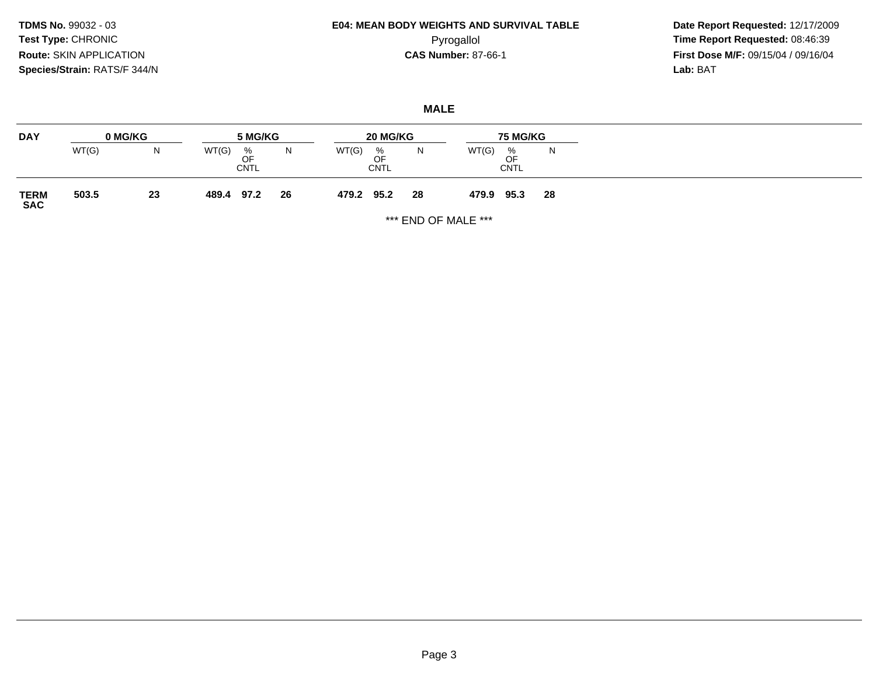## **E04: MEAN BODY WEIGHTS AND SURVIVAL TABLE**Pyrogallol Pyrogallol **Pyrogallol Time Report Requested:** 08:46:39<br>**CAS Number:** 87-66-1 **Time Report Requested:** 09/15/04 / 09/16/04

 **Date Report Requested:** 12/17/2009 **First Dose M/F:** 09/15/04 / 09/16/04<br>Lab: BAT **Lab:** BAT

### **MALE**

| <b>DAY</b>          | 0 MG/KG |    | 5 MG/KG                         | 20 MG/KG |            |                        | <b>75 MG/KG</b> |       |                        |    |
|---------------------|---------|----|---------------------------------|----------|------------|------------------------|-----------------|-------|------------------------|----|
|                     | WT(G)   | N. | WT(G)<br>%<br>OF<br><b>CNTL</b> | N        | WT(G)      | %<br>OF<br><b>CNTL</b> | N               | WT(G) | %<br>OF<br><b>CNTL</b> | N. |
| <b>TERM<br/>SAC</b> | 503.5   | 23 | 489.4<br>97.2                   | 26       | 479.2 95.2 |                        | 28              | 479.9 | 95.3                   | 28 |

\*\*\* END OF MALE \*\*\*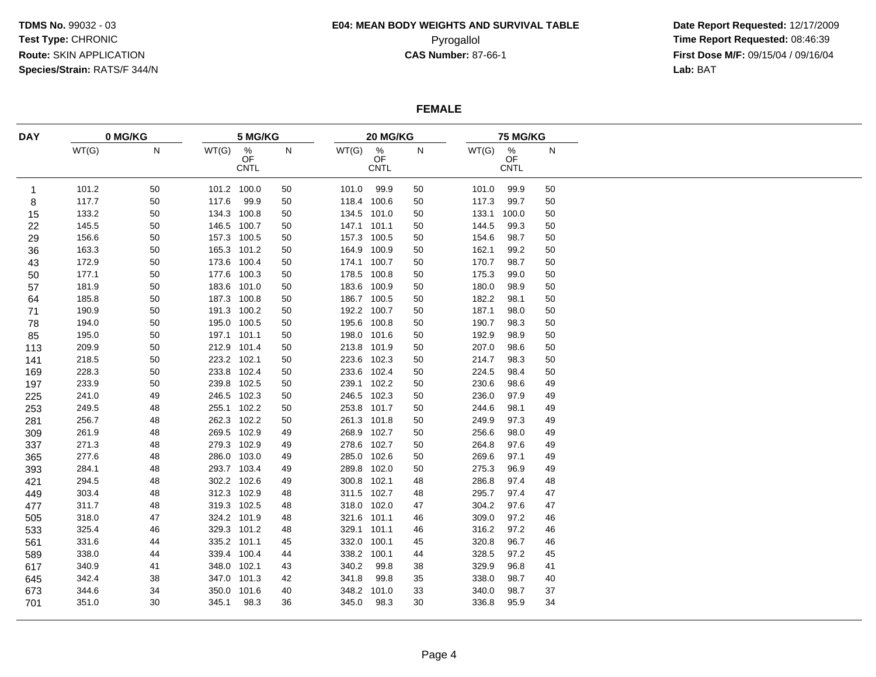## **E04: MEAN BODY WEIGHTS AND SURVIVAL TABLE**

 **Date Report Requested:** 12/17/2009 Pyrogallol Pyrogallol **Pyrogallol Time Report Requested:** 08:46:39<br>**CAS Number:** 87-66-1 **Time Report Requested:** 09/15/04 / 09/16/04 **First Dose M/F:** 09/15/04 / 09/16/04<br>Lab: BAT **Lab:** BAT

### **FEMALE**

| <b>DAY</b> |       | 0 MG/KG |             | 5 MG/KG                               |    |       | 20 MG/KG           |    |       | 75 MG/KG                       |    |  |  |
|------------|-------|---------|-------------|---------------------------------------|----|-------|--------------------|----|-------|--------------------------------|----|--|--|
|            | WT(G) | N       | WT(G)       | $\frac{\%}{\text{OF}}$<br><b>CNTL</b> | N  | WT(G) | $\%$<br>OF<br>CNTL | N  | WT(G) | $\frac{\%}{\text{OF}}$<br>CNTL | N  |  |  |
| -1         | 101.2 | 50      | 101.2 100.0 |                                       | 50 | 101.0 | 99.9               | 50 | 101.0 | 99.9                           | 50 |  |  |
| 8          | 117.7 | 50      | 117.6       | 99.9                                  | 50 |       | 118.4 100.6        | 50 | 117.3 | 99.7                           | 50 |  |  |
| 15         | 133.2 | 50      | 134.3 100.8 |                                       | 50 |       | 134.5 101.0        | 50 | 133.1 | 100.0                          | 50 |  |  |
| 22         | 145.5 | 50      | 146.5 100.7 |                                       | 50 |       | 147.1 101.1        | 50 | 144.5 | 99.3                           | 50 |  |  |
| 29         | 156.6 | 50      | 157.3 100.5 |                                       | 50 |       | 157.3 100.5        | 50 | 154.6 | 98.7                           | 50 |  |  |
| 36         | 163.3 | 50      | 165.3 101.2 |                                       | 50 |       | 164.9 100.9        | 50 | 162.1 | 99.2                           | 50 |  |  |
| 43         | 172.9 | 50      | 173.6 100.4 |                                       | 50 |       | 174.1 100.7        | 50 | 170.7 | 98.7                           | 50 |  |  |
| 50         | 177.1 | 50      | 177.6 100.3 |                                       | 50 |       | 178.5 100.8        | 50 | 175.3 | 99.0                           | 50 |  |  |
| 57         | 181.9 | 50      | 183.6 101.0 |                                       | 50 |       | 183.6 100.9        | 50 | 180.0 | 98.9                           | 50 |  |  |
| 64         | 185.8 | 50      | 187.3 100.8 |                                       | 50 |       | 186.7 100.5        | 50 | 182.2 | 98.1                           | 50 |  |  |
| 71         | 190.9 | 50      | 191.3 100.2 |                                       | 50 |       | 192.2 100.7        | 50 | 187.1 | 98.0                           | 50 |  |  |
| 78         | 194.0 | 50      | 195.0 100.5 |                                       | 50 |       | 195.6 100.8        | 50 | 190.7 | 98.3                           | 50 |  |  |
| 85         | 195.0 | 50      | 197.1 101.1 |                                       | 50 |       | 198.0 101.6        | 50 | 192.9 | 98.9                           | 50 |  |  |
| 113        | 209.9 | 50      | 212.9 101.4 |                                       | 50 |       | 213.8 101.9        | 50 | 207.0 | 98.6                           | 50 |  |  |
| 141        | 218.5 | 50      | 223.2 102.1 |                                       | 50 |       | 223.6 102.3        | 50 | 214.7 | 98.3                           | 50 |  |  |
| 169        | 228.3 | 50      | 233.8 102.4 |                                       | 50 |       | 233.6 102.4        | 50 | 224.5 | 98.4                           | 50 |  |  |
| 197        | 233.9 | 50      | 239.8 102.5 |                                       | 50 |       | 239.1 102.2        | 50 | 230.6 | 98.6                           | 49 |  |  |
| 225        | 241.0 | 49      | 246.5 102.3 |                                       | 50 |       | 246.5 102.3        | 50 | 236.0 | 97.9                           | 49 |  |  |
| 253        | 249.5 | 48      |             | 255.1 102.2                           | 50 |       | 253.8 101.7        | 50 | 244.6 | 98.1                           | 49 |  |  |
| 281        | 256.7 | 48      |             | 262.3 102.2                           | 50 |       | 261.3 101.8        | 50 | 249.9 | 97.3                           | 49 |  |  |
| 309        | 261.9 | 48      | 269.5 102.9 |                                       | 49 |       | 268.9 102.7        | 50 | 256.6 | 98.0                           | 49 |  |  |
| 337        | 271.3 | 48      | 279.3 102.9 |                                       | 49 |       | 278.6 102.7        | 50 | 264.8 | 97.6                           | 49 |  |  |
| 365        | 277.6 | 48      | 286.0 103.0 |                                       | 49 |       | 285.0 102.6        | 50 | 269.6 | 97.1                           | 49 |  |  |
| 393        | 284.1 | 48      | 293.7 103.4 |                                       | 49 | 289.8 | 102.0              | 50 | 275.3 | 96.9                           | 49 |  |  |
| 421        | 294.5 | 48      | 302.2 102.6 |                                       | 49 |       | 300.8 102.1        | 48 | 286.8 | 97.4                           | 48 |  |  |
| 449        | 303.4 | 48      | 312.3 102.9 |                                       | 48 |       | 311.5 102.7        | 48 | 295.7 | 97.4                           | 47 |  |  |
| 477        | 311.7 | 48      | 319.3 102.5 |                                       | 48 |       | 318.0 102.0        | 47 | 304.2 | 97.6                           | 47 |  |  |
| 505        | 318.0 | 47      | 324.2 101.9 |                                       | 48 | 321.6 | 101.1              | 46 | 309.0 | 97.2                           | 46 |  |  |
| 533        | 325.4 | 46      |             | 329.3 101.2                           | 48 |       | 329.1 101.1        | 46 | 316.2 | 97.2                           | 46 |  |  |
| 561        | 331.6 | 44      | 335.2 101.1 |                                       | 45 | 332.0 | 100.1              | 45 | 320.8 | 96.7                           | 46 |  |  |
| 589        | 338.0 | 44      |             | 339.4 100.4                           | 44 | 338.2 | 100.1              | 44 | 328.5 | 97.2                           | 45 |  |  |
| 617        | 340.9 | 41      | 348.0 102.1 |                                       | 43 | 340.2 | 99.8               | 38 | 329.9 | 96.8                           | 41 |  |  |
| 645        | 342.4 | 38      |             | 347.0 101.3                           | 42 | 341.8 | 99.8               | 35 | 338.0 | 98.7                           | 40 |  |  |
| 673        | 344.6 | 34      |             | 350.0 101.6                           | 40 | 348.2 | 101.0              | 33 | 340.0 | 98.7                           | 37 |  |  |
| 701        | 351.0 | 30      | 345.1       | 98.3                                  | 36 | 345.0 | 98.3               | 30 | 336.8 | 95.9                           | 34 |  |  |
|            |       |         |             |                                       |    |       |                    |    |       |                                |    |  |  |